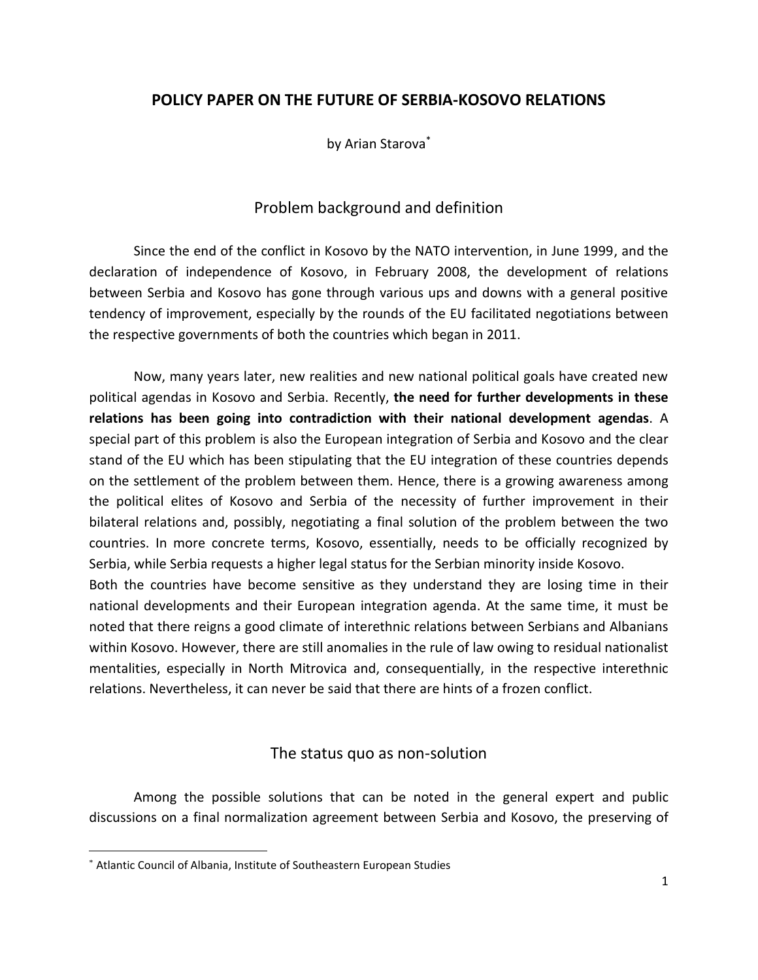## **POLICY PAPER ON THE FUTURE OF SERBIA-KOSOVO RELATIONS**

by Arian Starova\*

## Problem background and definition

Since the end of the conflict in Kosovo by the NATO intervention, in June 1999, and the declaration of independence of Kosovo, in February 2008, the development of relations between Serbia and Kosovo has gone through various ups and downs with a general positive tendency of improvement, especially by the rounds of the EU facilitated negotiations between the respective governments of both the countries which began in 2011.

Now, many years later, new realities and new national political goals have created new political agendas in Kosovo and Serbia. Recently, **the need for further developments in these relations has been going into contradiction with their national development agendas**. A special part of this problem is also the European integration of Serbia and Kosovo and the clear stand of the EU which has been stipulating that the EU integration of these countries depends on the settlement of the problem between them. Hence, there is a growing awareness among the political elites of Kosovo and Serbia of the necessity of further improvement in their bilateral relations and, possibly, negotiating a final solution of the problem between the two countries. In more concrete terms, Kosovo, essentially, needs to be officially recognized by Serbia, while Serbia requests a higher legal status for the Serbian minority inside Kosovo.

Both the countries have become sensitive as they understand they are losing time in their national developments and their European integration agenda. At the same time, it must be noted that there reigns a good climate of interethnic relations between Serbians and Albanians within Kosovo. However, there are still anomalies in the rule of law owing to residual nationalist mentalities, especially in North Mitrovica and, consequentially, in the respective interethnic relations. Nevertheless, it can never be said that there are hints of a frozen conflict.

#### The status quo as non-solution

Among the possible solutions that can be noted in the general expert and public discussions on a final normalization agreement between Serbia and Kosovo, the preserving of

<sup>\*</sup> Atlantic Council of Albania, Institute of Southeastern European Studies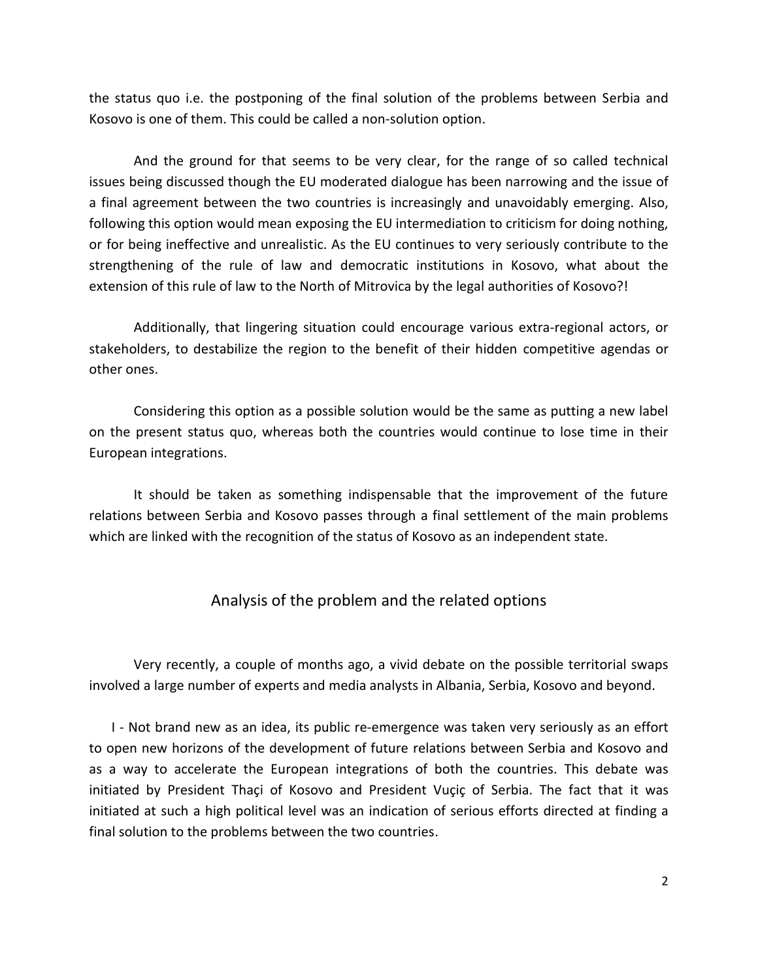the status quo i.e. the postponing of the final solution of the problems between Serbia and Kosovo is one of them. This could be called a non-solution option.

And the ground for that seems to be very clear, for the range of so called technical issues being discussed though the EU moderated dialogue has been narrowing and the issue of a final agreement between the two countries is increasingly and unavoidably emerging. Also, following this option would mean exposing the EU intermediation to criticism for doing nothing, or for being ineffective and unrealistic. As the EU continues to very seriously contribute to the strengthening of the rule of law and democratic institutions in Kosovo, what about the extension of this rule of law to the North of Mitrovica by the legal authorities of Kosovo?!

Additionally, that lingering situation could encourage various extra-regional actors, or stakeholders, to destabilize the region to the benefit of their hidden competitive agendas or other ones.

Considering this option as a possible solution would be the same as putting a new label on the present status quo, whereas both the countries would continue to lose time in their European integrations.

It should be taken as something indispensable that the improvement of the future relations between Serbia and Kosovo passes through a final settlement of the main problems which are linked with the recognition of the status of Kosovo as an independent state.

#### Analysis of the problem and the related options

Very recently, a couple of months ago, a vivid debate on the possible territorial swaps involved a large number of experts and media analysts in Albania, Serbia, Kosovo and beyond.

I - Not brand new as an idea, its public re-emergence was taken very seriously as an effort to open new horizons of the development of future relations between Serbia and Kosovo and as a way to accelerate the European integrations of both the countries. This debate was initiated by President Thaçi of Kosovo and President Vuçiç of Serbia. The fact that it was initiated at such a high political level was an indication of serious efforts directed at finding a final solution to the problems between the two countries.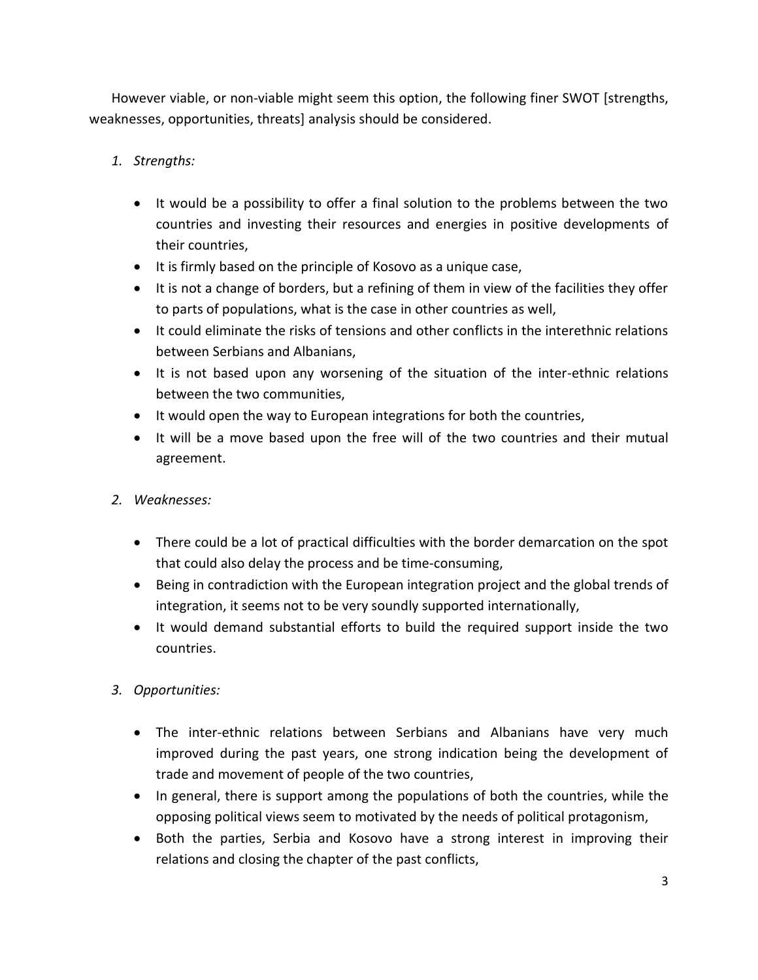However viable, or non-viable might seem this option, the following finer SWOT [strengths, weaknesses, opportunities, threats] analysis should be considered.

- *1. Strengths:* 
	- It would be a possibility to offer a final solution to the problems between the two countries and investing their resources and energies in positive developments of their countries,
	- It is firmly based on the principle of Kosovo as a unique case,
	- It is not a change of borders, but a refining of them in view of the facilities they offer to parts of populations, what is the case in other countries as well,
	- It could eliminate the risks of tensions and other conflicts in the interethnic relations between Serbians and Albanians,
	- It is not based upon any worsening of the situation of the inter-ethnic relations between the two communities,
	- It would open the way to European integrations for both the countries,
	- It will be a move based upon the free will of the two countries and their mutual agreement.
- *2. Weaknesses:* 
	- There could be a lot of practical difficulties with the border demarcation on the spot that could also delay the process and be time-consuming,
	- Being in contradiction with the European integration project and the global trends of integration, it seems not to be very soundly supported internationally,
	- It would demand substantial efforts to build the required support inside the two countries.
- *3. Opportunities:* 
	- The inter-ethnic relations between Serbians and Albanians have very much improved during the past years, one strong indication being the development of trade and movement of people of the two countries,
	- In general, there is support among the populations of both the countries, while the opposing political views seem to motivated by the needs of political protagonism,
	- Both the parties, Serbia and Kosovo have a strong interest in improving their relations and closing the chapter of the past conflicts,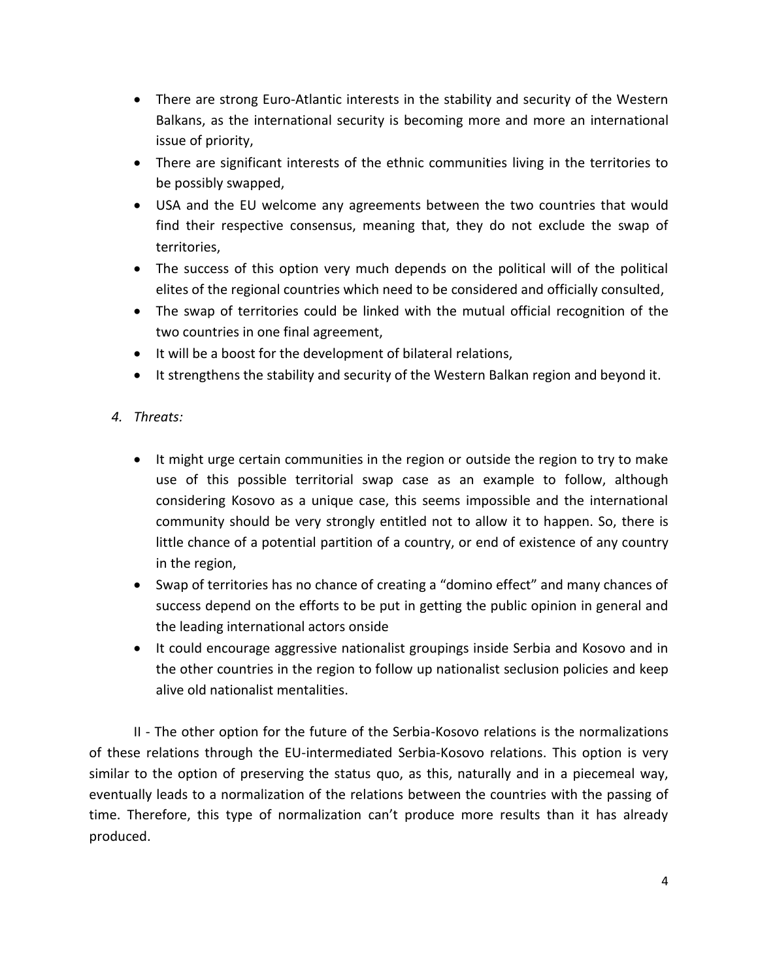- There are strong Euro-Atlantic interests in the stability and security of the Western Balkans, as the international security is becoming more and more an international issue of priority,
- There are significant interests of the ethnic communities living in the territories to be possibly swapped,
- USA and the EU welcome any agreements between the two countries that would find their respective consensus, meaning that, they do not exclude the swap of territories,
- The success of this option very much depends on the political will of the political elites of the regional countries which need to be considered and officially consulted,
- The swap of territories could be linked with the mutual official recognition of the two countries in one final agreement,
- It will be a boost for the development of bilateral relations,
- It strengthens the stability and security of the Western Balkan region and beyond it.

## *4. Threats:*

- It might urge certain communities in the region or outside the region to try to make use of this possible territorial swap case as an example to follow, although considering Kosovo as a unique case, this seems impossible and the international community should be very strongly entitled not to allow it to happen. So, there is little chance of a potential partition of a country, or end of existence of any country in the region,
- Swap of territories has no chance of creating a "domino effect" and many chances of success depend on the efforts to be put in getting the public opinion in general and the leading international actors onside
- It could encourage aggressive nationalist groupings inside Serbia and Kosovo and in the other countries in the region to follow up nationalist seclusion policies and keep alive old nationalist mentalities.

II - The other option for the future of the Serbia-Kosovo relations is the normalizations of these relations through the EU-intermediated Serbia-Kosovo relations. This option is very similar to the option of preserving the status quo, as this, naturally and in a piecemeal way, eventually leads to a normalization of the relations between the countries with the passing of time. Therefore, this type of normalization can't produce more results than it has already produced.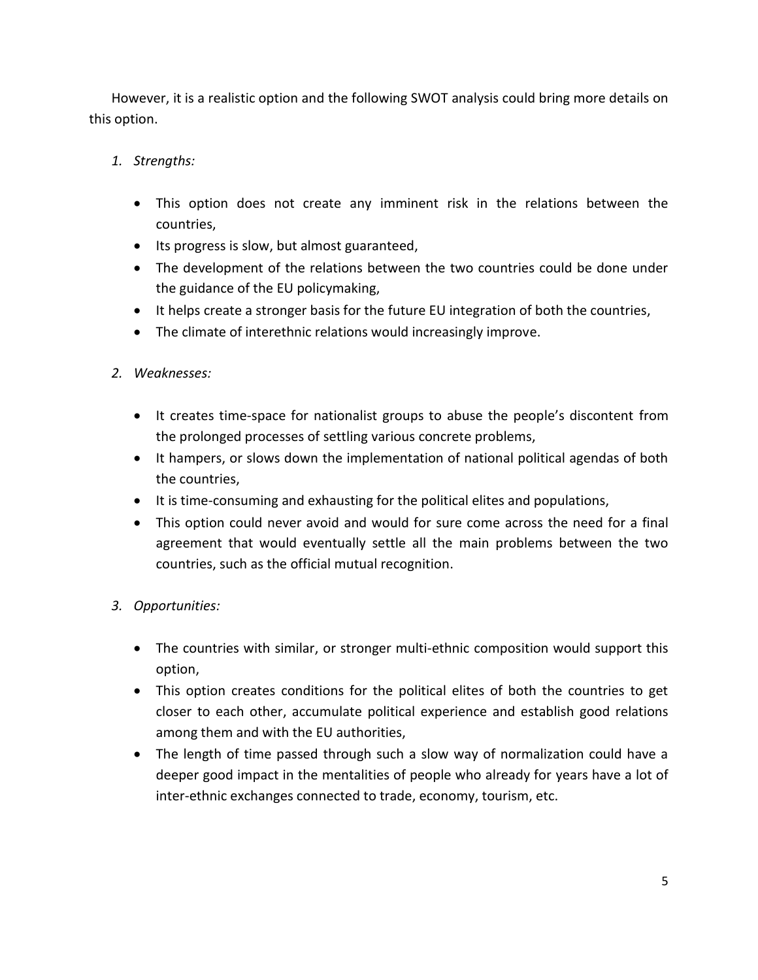However, it is a realistic option and the following SWOT analysis could bring more details on this option.

- *1. Strengths:* 
	- This option does not create any imminent risk in the relations between the countries,
	- Its progress is slow, but almost guaranteed,
	- The development of the relations between the two countries could be done under the guidance of the EU policymaking,
	- It helps create a stronger basis for the future EU integration of both the countries,
	- The climate of interethnic relations would increasingly improve.
- *2. Weaknesses:* 
	- It creates time-space for nationalist groups to abuse the people's discontent from the prolonged processes of settling various concrete problems,
	- It hampers, or slows down the implementation of national political agendas of both the countries,
	- It is time-consuming and exhausting for the political elites and populations,
	- This option could never avoid and would for sure come across the need for a final agreement that would eventually settle all the main problems between the two countries, such as the official mutual recognition.
- *3. Opportunities:* 
	- The countries with similar, or stronger multi-ethnic composition would support this option,
	- This option creates conditions for the political elites of both the countries to get closer to each other, accumulate political experience and establish good relations among them and with the EU authorities,
	- The length of time passed through such a slow way of normalization could have a deeper good impact in the mentalities of people who already for years have a lot of inter-ethnic exchanges connected to trade, economy, tourism, etc.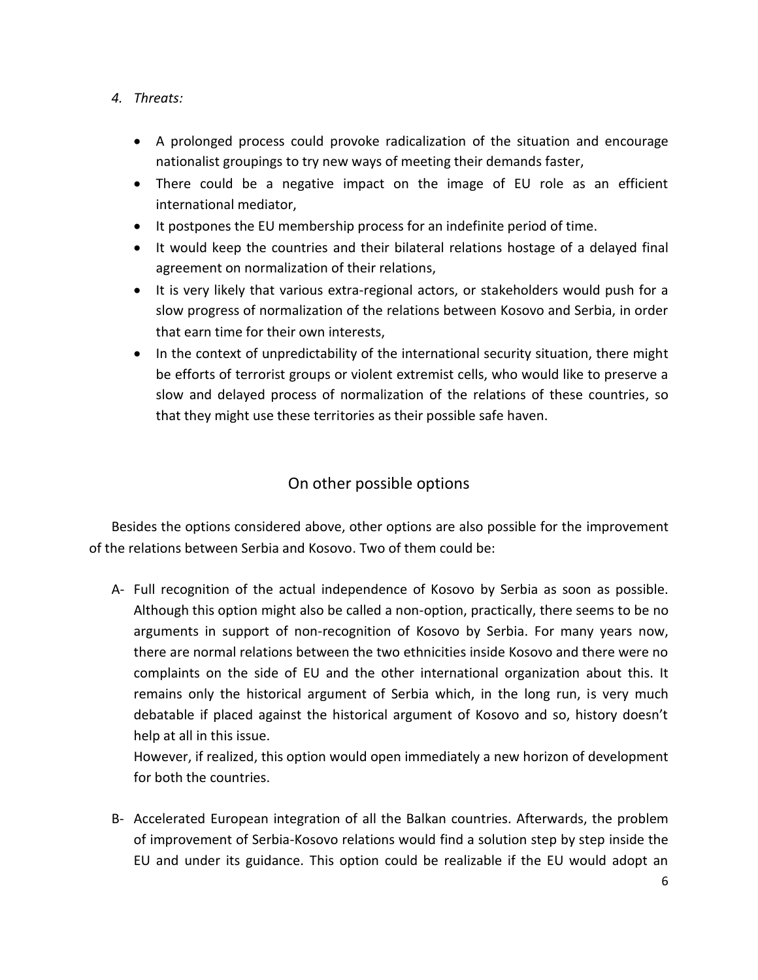- *4. Threats:* 
	- A prolonged process could provoke radicalization of the situation and encourage nationalist groupings to try new ways of meeting their demands faster,
	- There could be a negative impact on the image of EU role as an efficient international mediator,
	- It postpones the EU membership process for an indefinite period of time.
	- It would keep the countries and their bilateral relations hostage of a delayed final agreement on normalization of their relations,
	- It is very likely that various extra-regional actors, or stakeholders would push for a slow progress of normalization of the relations between Kosovo and Serbia, in order that earn time for their own interests,
	- In the context of unpredictability of the international security situation, there might be efforts of terrorist groups or violent extremist cells, who would like to preserve a slow and delayed process of normalization of the relations of these countries, so that they might use these territories as their possible safe haven.

# On other possible options

Besides the options considered above, other options are also possible for the improvement of the relations between Serbia and Kosovo. Two of them could be:

A- Full recognition of the actual independence of Kosovo by Serbia as soon as possible. Although this option might also be called a non-option, practically, there seems to be no arguments in support of non-recognition of Kosovo by Serbia. For many years now, there are normal relations between the two ethnicities inside Kosovo and there were no complaints on the side of EU and the other international organization about this. It remains only the historical argument of Serbia which, in the long run, is very much debatable if placed against the historical argument of Kosovo and so, history doesn't help at all in this issue.

However, if realized, this option would open immediately a new horizon of development for both the countries.

B- Accelerated European integration of all the Balkan countries. Afterwards, the problem of improvement of Serbia-Kosovo relations would find a solution step by step inside the EU and under its guidance. This option could be realizable if the EU would adopt an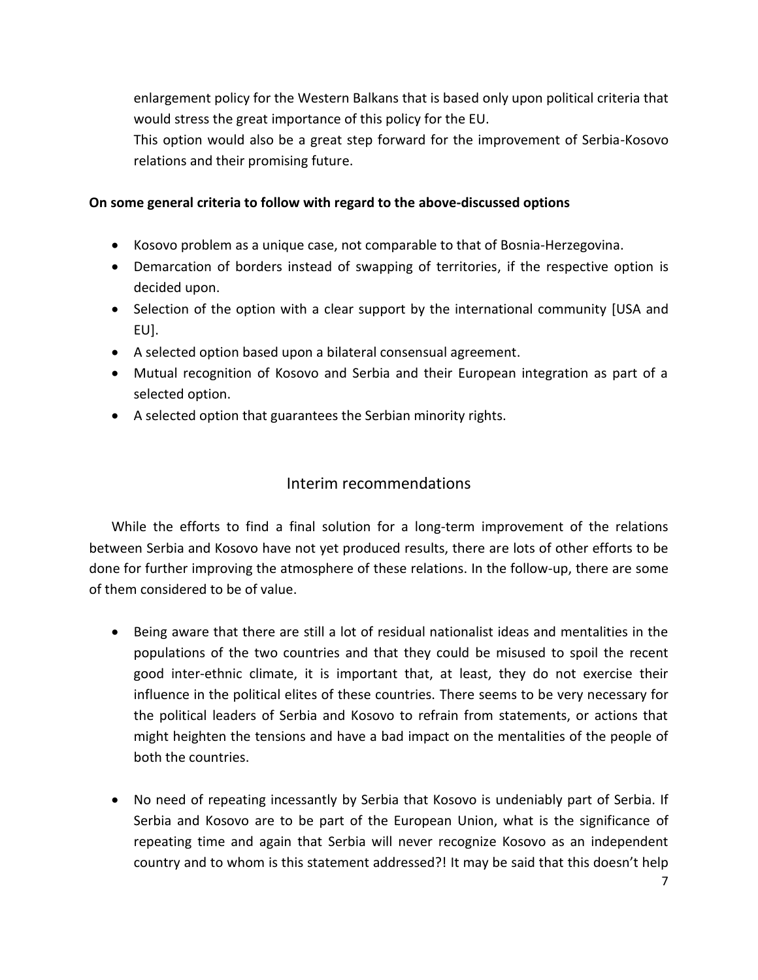enlargement policy for the Western Balkans that is based only upon political criteria that would stress the great importance of this policy for the EU.

This option would also be a great step forward for the improvement of Serbia-Kosovo relations and their promising future.

#### **On some general criteria to follow with regard to the above-discussed options**

- Kosovo problem as a unique case, not comparable to that of Bosnia-Herzegovina.
- Demarcation of borders instead of swapping of territories, if the respective option is decided upon.
- Selection of the option with a clear support by the international community [USA and EU].
- A selected option based upon a bilateral consensual agreement.
- Mutual recognition of Kosovo and Serbia and their European integration as part of a selected option.
- A selected option that guarantees the Serbian minority rights.

# Interim recommendations

While the efforts to find a final solution for a long-term improvement of the relations between Serbia and Kosovo have not yet produced results, there are lots of other efforts to be done for further improving the atmosphere of these relations. In the follow-up, there are some of them considered to be of value.

- Being aware that there are still a lot of residual nationalist ideas and mentalities in the populations of the two countries and that they could be misused to spoil the recent good inter-ethnic climate, it is important that, at least, they do not exercise their influence in the political elites of these countries. There seems to be very necessary for the political leaders of Serbia and Kosovo to refrain from statements, or actions that might heighten the tensions and have a bad impact on the mentalities of the people of both the countries.
- No need of repeating incessantly by Serbia that Kosovo is undeniably part of Serbia. If Serbia and Kosovo are to be part of the European Union, what is the significance of repeating time and again that Serbia will never recognize Kosovo as an independent country and to whom is this statement addressed?! It may be said that this doesn't help